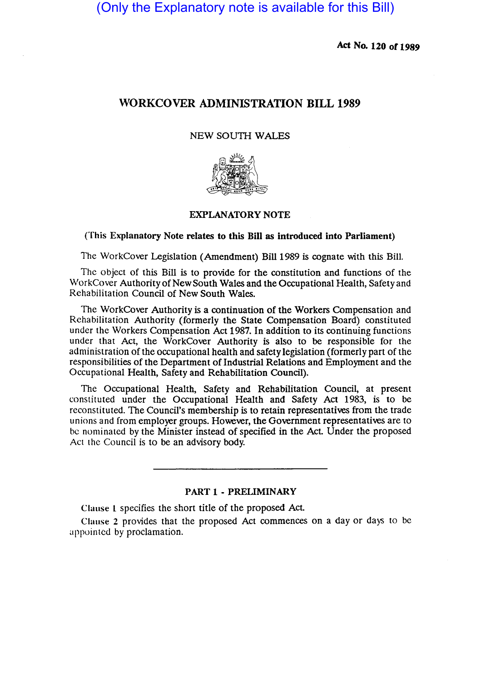(Only the Explanatory note is available for this Bill)

Act No. 120 or 1989

# WORKCOVER ADMINISTRATION BILL 1989

### NEW SOUTH WALES



### EXPLANATORY NOTE

#### (This Explanatory Note relates to this Bill as introduced into Parliament)

The WorkCover Legislation (Amendment) Bill 1989 is cognate with this Bill.

The Object of this Bill is to provide for the constitution and functions of the WorkCover Authority of New South Wales and the Occupational Health, Safety and Rehabilitation Council of New South Wales.

The WorkCover Authority is a continuation of the Workers Compensation and Rehabilitation Authority (formerly the State Compensation Board) constituted under the Workers Compensation Act 1987. In addition to its continuing functions under that Act, the WorkCover Authority is also to be responsible for the administration of the occupational health and safety legislation (formerly part of the responsibilities of the Department of Industrial Relations and Employment and the Occupational Health, Safety and Rehabilitation Council).

The Occupational Health, Safety and Rehabilitation Council, at present constituted under the Occupational Health and Safety Act 1983, is to be reconstituted. The Council's membership is to retain representatives from the trade unions and from employer groups. However, the Government representatives are to be nominated by the Minister instead of specified in the Act Under the proposed Act the Council is to be an advisory body.

#### PART 1 - PRELIMINARY

Clause 1 specifies the short title of the proposed Act.

Clause 2 provides that the proposed Act commences on a day or days to be appointed by proclamation.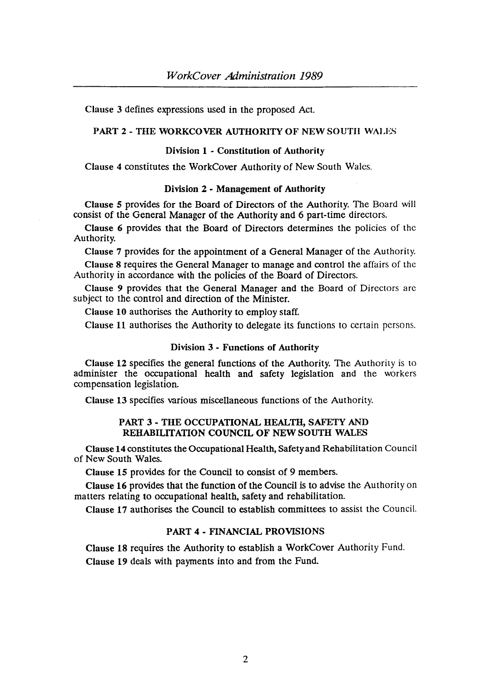Clause 3 defines expressions used in the proposed Act.

# PART 2 - THE WORKCOVER AUTHORITY OF NEW SOUTH WALES

## Division 1 - Constitution of Authority

Clause 4 constitutes the WorkCover Authority of New South Wales.

#### Division 2 • Management of Authority

Clause 5 provides for the Board of Directors of the Authority. The Board will consist of the General Manager of the Authority and 6 part-time directors.

Clause 6 provides that the Board of Directors determines the policies of the Authority.

Clause 7 provides for the appointment of a General Manager of the Authority. Clause 8 requires the General Manager to manage and control the affairs of the Authority in accordance with the policies of the Board of Directors.

Clause 9 provides that the General Manager and the Board of Directors arc subject to the control and direction of the Minister.

Clause 10 authorises the Authority to employ staff.

Clause 11 authorises the Authority to delegate its functions to certain persons.

#### Division 3 • Functions of Authority

Clause 12 specifies the general functions of the Authority. The Authority is to administer the occupational health and safety legislation and the workers compensation legislation.

Clause 13 specifies various miscellaneous functions of the Authority.

### PART 3 - THE OCCUPATIONAL HEALTH, SAFETY AND REHABILITATION COUNCIL OF NEW SOUTH WALES

Clause 14 constitutes the Occupational Health, Safety and Rehabilitation Council of New South Wales.

Clause 15 provides for the Council to consist of 9 members.

Clause 16 provides that the function of the Council is to advise the Authority on matters relating to occupational health, safety and rehabilitation.

Clause 17 authorises the Council to establish committees to assist the Council.

# PART 4· FINANCIAL PROVISIONS

Clause 18 requires the Authority to establish a WorkCover Authority Fund. Clause 19 deals with payments into and from the Fund.